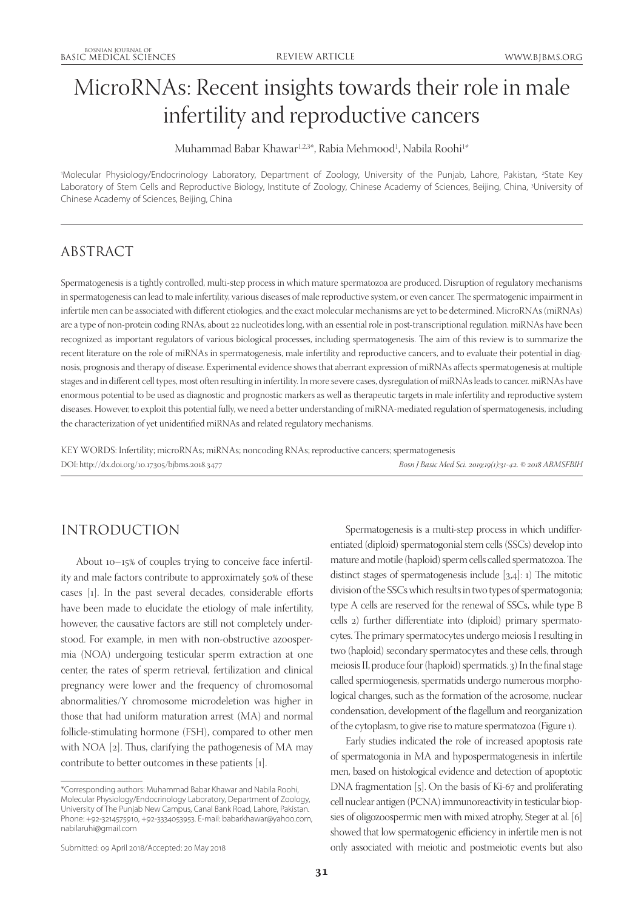# MicroRNAs: Recent insights towards their role in male infertility and reproductive cancers

Muhammad Babar Khawar<sup>1,2,3\*</sup>, Rabia Mehmood<sup>1</sup>, Nabila Roohi<sup>1\*</sup>

'Molecular Physiology/Endocrinology Laboratory, Department of Zoology, University of the Punjab, Lahore, Pakistan, <sup>2</sup>State Key Laboratory of Stem Cells and Reproductive Biology, Institute of Zoology, Chinese Academy of Sciences, Beijing, China, <sup>3</sup>University of Chinese Academy of Sciences, Beijing, China

## ABSTRACT

Spermatogenesis is a tightly controlled, multi-step process in which mature spermatozoa are produced. Disruption of regulatory mechanisms in spermatogenesis can lead to male infertility, various diseases of male reproductive system, or even cancer. The spermatogenic impairment in infertile men can be associated with different etiologies, and the exact molecular mechanisms are yet to be determined. MicroRNAs (miRNAs) are a type of non-protein coding RNAs, about 22 nucleotides long, with an essential role in post-transcriptional regulation. miRNAs have been recognized as important regulators of various biological processes, including spermatogenesis. The aim of this review is to summarize the recent literature on the role of miRNAs in spermatogenesis, male infertility and reproductive cancers, and to evaluate their potential in diagnosis, prognosis and therapy of disease. Experimental evidence shows that aberrant expression of miRNAs affects spermatogenesis at multiple stages and in different cell types, most often resulting in infertility. In more severe cases, dysregulation of miRNAs leads to cancer. miRNAs have enormous potential to be used as diagnostic and prognostic markers as well as therapeutic targets in male infertility and reproductive system diseases. However, to exploit this potential fully, we need a better understanding of miRNA-mediated regulation of spermatogenesis, including the characterization of yet unidentified miRNAs and related regulatory mechanisms.

KEY WORDS: Infertility; microRNAs; miRNAs; noncoding RNAs; reproductive cancers; spermatogenesis DOI: http://dx.doi.org/10.17305/bjbms.2018.3477 *Bosn J Basic Med Sci. 2019;19(1):31-42. © 2018 ABMSFBIH*

## INTRODUCTION

About 10–15% of couples trying to conceive face infertility and male factors contribute to approximately 50% of these cases [1]. In the past several decades, considerable efforts have been made to elucidate the etiology of male infertility, however, the causative factors are still not completely understood. For example, in men with non-obstructive azoospermia (NOA) undergoing testicular sperm extraction at one center, the rates of sperm retrieval, fertilization and clinical pregnancy were lower and the frequency of chromosomal abnormalities/Y chromosome microdeletion was higher in those that had uniform maturation arrest (MA) and normal follicle-stimulating hormone (FSH), compared to other men with NOA [2]. Thus, clarifying the pathogenesis of MA may contribute to better outcomes in these patients [1].

Spermatogenesis is a multi-step process in which undifferentiated (diploid) spermatogonial stem cells (SSCs) develop into mature and motile (haploid) sperm cells called spermatozoa. The distinct stages of spermatogenesis include [3,4]: 1) The mitotic division of the SSCs which results in two types of spermatogonia; type A cells are reserved for the renewal of SSCs, while type B cells 2) further differentiate into (diploid) primary spermatocytes. The primary spermatocytes undergo meiosis I resulting in two (haploid) secondary spermatocytes and these cells, through meiosis II, produce four (haploid) spermatids. 3) In the final stage called spermiogenesis, spermatids undergo numerous morphological changes, such as the formation of the acrosome, nuclear condensation, development of the flagellum and reorganization of the cytoplasm, to give rise to mature spermatozoa (Figure 1).

Early studies indicated the role of increased apoptosis rate of spermatogonia in MA and hypospermatogenesis in infertile men, based on histological evidence and detection of apoptotic DNA fragmentation [5]. On the basis of Ki-67 and proliferating cell nuclear antigen (PCNA) immunoreactivity in testicular biopsies of oligozoospermic men with mixed atrophy, Steger at al. [6] showed that low spermatogenic efficiency in infertile men is not only associated with meiotic and postmeiotic events but also

<sup>\*</sup>Corresponding authors: Muhammad Babar Khawar and Nabila Roohi, Molecular Physiology/Endocrinology Laboratory, Department of Zoology, University of The Punjab New Campus, Canal Bank Road, Lahore, Pakistan. Phone: +92-3214575910, +92-3334053953. E-mail: babarkhawar@yahoo.com, nabilaruhi@gmail.com

Submitted: 09 April 2018/Accepted: 20 May 2018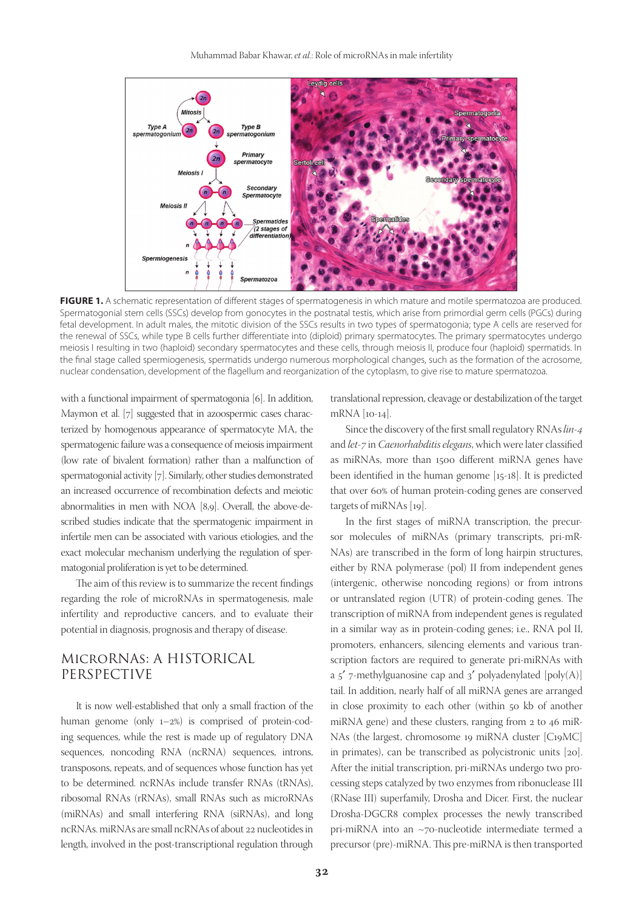

FIGURE 1. A schematic representation of different stages of spermatogenesis in which mature and motile spermatozoa are produced. Spermatogonial stem cells (SSCs) develop from gonocytes in the postnatal testis, which arise from primordial germ cells (PGCs) during fetal development. In adult males, the mitotic division of the SSCs results in two types of spermatogonia; type A cells are reserved for the renewal of SSCs, while type B cells further differentiate into (diploid) primary spermatocytes. The primary spermatocytes undergo meiosis I resulting in two (haploid) secondary spermatocytes and these cells, through meiosis II, produce four (haploid) spermatids. In the final stage called spermiogenesis, spermatids undergo numerous morphological changes, such as the formation of the acrosome, nuclear condensation, development of the flagellum and reorganization of the cytoplasm, to give rise to mature spermatozoa.

with a functional impairment of spermatogonia [6]. In addition, Maymon et al. [7] suggested that in azoospermic cases characterized by homogenous appearance of spermatocyte MA, the spermatogenic failure was a consequence of meiosis impairment (low rate of bivalent formation) rather than a malfunction of spermatogonial activity [7]. Similarly, other studies demonstrated an increased occurrence of recombination defects and meiotic abnormalities in men with NOA [8,9]. Overall, the above-described studies indicate that the spermatogenic impairment in infertile men can be associated with various etiologies, and the exact molecular mechanism underlying the regulation of spermatogonial proliferation is yet to be determined.

The aim of this review is to summarize the recent findings regarding the role of microRNAs in spermatogenesis, male infertility and reproductive cancers, and to evaluate their potential in diagnosis, prognosis and therapy of disease.

## MicroRNAs: A HISTORICAL PERSPECTIVE

It is now well-established that only a small fraction of the human genome (only 1–2%) is comprised of protein-coding sequences, while the rest is made up of regulatory DNA sequences, noncoding RNA (ncRNA) sequences, introns, transposons, repeats, and of sequences whose function has yet to be determined. ncRNAs include transfer RNAs (tRNAs), ribosomal RNAs (rRNAs), small RNAs such as microRNAs (miRNAs) and small interfering RNA (siRNAs), and long ncRNAs. miRNAs are small ncRNAs of about 22 nucleotides in length, involved in the post-transcriptional regulation through

translational repression, cleavage or destabilization of the target mRNA [10-14].

Since the discovery of the first small regulatory RNAs *lin-4* and *let-7* in *Caenorhabditis elegans*, which were later classified as miRNAs, more than 1500 different miRNA genes have been identified in the human genome [15-18]. It is predicted that over 60% of human protein-coding genes are conserved targets of miRNAs [19].

In the first stages of miRNA transcription, the precursor molecules of miRNAs (primary transcripts, pri-mR-NAs) are transcribed in the form of long hairpin structures, either by RNA polymerase (pol) II from independent genes (intergenic, otherwise noncoding regions) or from introns or untranslated region (UTR) of protein-coding genes. The transcription of miRNA from independent genes is regulated in a similar way as in protein-coding genes; i.e., RNA pol II, promoters, enhancers, silencing elements and various transcription factors are required to generate pri-miRNAs with a  $5'$  7-methylguanosine cap and  $3'$  polyadenylated [poly(A)] tail. In addition, nearly half of all miRNA genes are arranged in close proximity to each other (within 50 kb of another miRNA gene) and these clusters, ranging from 2 to 46 miR-NAs (the largest, chromosome 19 miRNA cluster [C19MC] in primates), can be transcribed as polycistronic units [20]. After the initial transcription, pri-miRNAs undergo two processing steps catalyzed by two enzymes from ribonuclease III (RNase III) superfamily, Drosha and Dicer. First, the nuclear Drosha-DGCR8 complex processes the newly transcribed pri-miRNA into an ~70-nucleotide intermediate termed a precursor (pre)-miRNA. This pre-miRNA is then transported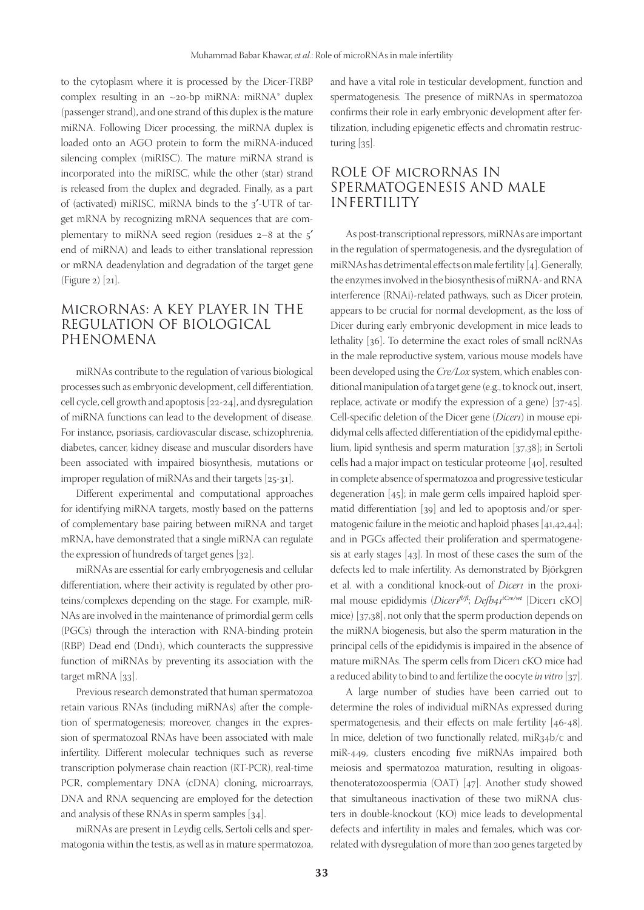to the cytoplasm where it is processed by the Dicer-TRBP complex resulting in an  $\sim$ 20-bp miRNA: miRNA\* duplex (passenger strand), and one strand of this duplex is the mature miRNA. Following Dicer processing, the miRNA duplex is loaded onto an AGO protein to form the miRNA-induced silencing complex (miRISC). The mature miRNA strand is incorporated into the miRISC, while the other (star) strand is released from the duplex and degraded. Finally, as a part of (activated) miRISC, miRNA binds to the 3′-UTR of target mRNA by recognizing mRNA sequences that are complementary to miRNA seed region (residues 2–8 at the 5′ end of miRNA) and leads to either translational repression or mRNA deadenylation and degradation of the target gene (Figure 2) [21].

#### MicroRNAs: A KEY PLAYER IN THE REGULATION OF BIOLOGICAL PHENOMENA

miRNAs contribute to the regulation of various biological processes such as embryonic development, cell differentiation, cell cycle, cell growth and apoptosis [22-24], and dysregulation of miRNA functions can lead to the development of disease. For instance, psoriasis, cardiovascular disease, schizophrenia, diabetes, cancer, kidney disease and muscular disorders have been associated with impaired biosynthesis, mutations or improper regulation of miRNAs and their targets [25-31].

Different experimental and computational approaches for identifying miRNA targets, mostly based on the patterns of complementary base pairing between miRNA and target mRNA, have demonstrated that a single miRNA can regulate the expression of hundreds of target genes [32].

miRNAs are essential for early embryogenesis and cellular differentiation, where their activity is regulated by other proteins/complexes depending on the stage. For example, miR-NAs are involved in the maintenance of primordial germ cells (PGCs) through the interaction with RNA-binding protein (RBP) Dead end (Dnd1), which counteracts the suppressive function of miRNAs by preventing its association with the target mRNA [33].

Previous research demonstrated that human spermatozoa retain various RNAs (including miRNAs) after the completion of spermatogenesis; moreover, changes in the expression of spermatozoal RNAs have been associated with male infertility. Different molecular techniques such as reverse transcription polymerase chain reaction (RT-PCR), real-time PCR, complementary DNA (cDNA) cloning, microarrays, DNA and RNA sequencing are employed for the detection and analysis of these RNAs in sperm samples [34].

miRNAs are present in Leydig cells, Sertoli cells and spermatogonia within the testis, as well as in mature spermatozoa, and have a vital role in testicular development, function and spermatogenesis. The presence of miRNAs in spermatozoa confirms their role in early embryonic development after fertilization, including epigenetic effects and chromatin restructuring [35].

## ROLE OF microRNAs IN SPERMATOGENESIS AND MALE INFERTILITY

As post-transcriptional repressors, miRNAs are important in the regulation of spermatogenesis, and the dysregulation of miRNAs has detrimental effects on male fertility [4]. Generally, the enzymes involved in the biosynthesis of miRNA- and RNA interference (RNAi)-related pathways, such as Dicer protein, appears to be crucial for normal development, as the loss of Dicer during early embryonic development in mice leads to lethality [36]. To determine the exact roles of small ncRNAs in the male reproductive system, various mouse models have been developed using the *Cre/Lox* system, which enables conditional manipulation of a target gene (e.g., to knock out, insert, replace, activate or modify the expression of a gene) [37-45]. Cell-specific deletion of the Dicer gene (*Dicer1*) in mouse epididymal cells affected differentiation of the epididymal epithelium, lipid synthesis and sperm maturation [37,38]; in Sertoli cells had a major impact on testicular proteome [40], resulted in complete absence of spermatozoa and progressive testicular degeneration [45]; in male germ cells impaired haploid spermatid differentiation [39] and led to apoptosis and/or spermatogenic failure in the meiotic and haploid phases [41,42,44]; and in PGCs affected their proliferation and spermatogenesis at early stages [43]. In most of these cases the sum of the defects led to male infertility. As demonstrated by Björkgren et al. with a conditional knock-out of *Dicer1* in the proximal mouse epididymis (*Dicer1fl/fl*; *Defb41iCre/wt* [Dicer1 cKO] mice) [37,38], not only that the sperm production depends on the miRNA biogenesis, but also the sperm maturation in the principal cells of the epididymis is impaired in the absence of mature miRNAs. The sperm cells from Dicer1 cKO mice had a reduced ability to bind to and fertilize the oocyte *in vitro* [37].

A large number of studies have been carried out to determine the roles of individual miRNAs expressed during spermatogenesis, and their effects on male fertility [46-48]. In mice, deletion of two functionally related, miR34b/c and miR-449, clusters encoding five miRNAs impaired both meiosis and spermatozoa maturation, resulting in oligoasthenoteratozoospermia (OAT) [47]. Another study showed that simultaneous inactivation of these two miRNA clusters in double-knockout (KO) mice leads to developmental defects and infertility in males and females, which was correlated with dysregulation of more than 200 genes targeted by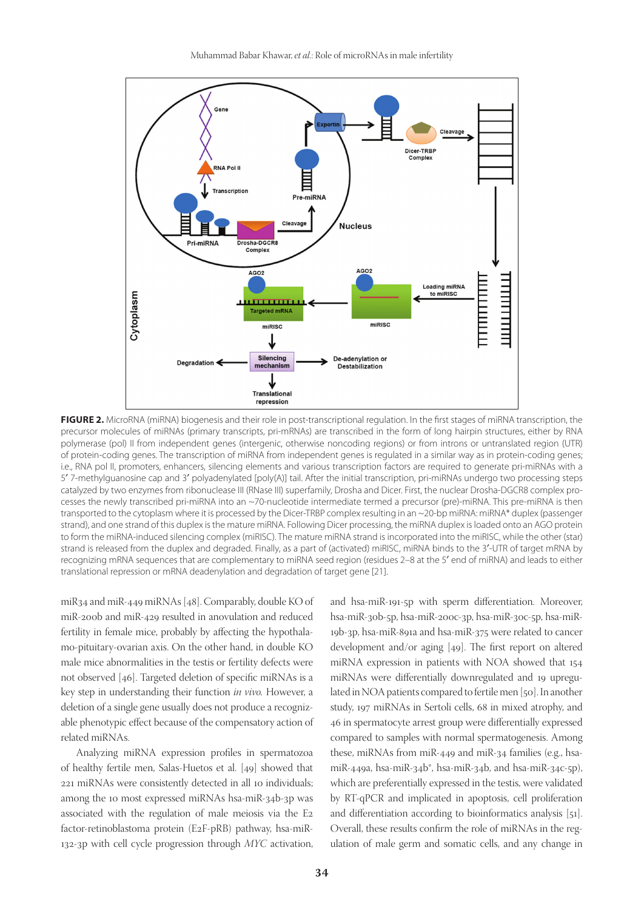

**FIGURE 2.** MicroRNA (miRNA) biogenesis and their role in post-transcriptional regulation. In the first stages of miRNA transcription, the precursor molecules of miRNAs (primary transcripts, pri-mRNAs) are transcribed in the form of long hairpin structures, either by RNA polymerase (pol) II from independent genes (intergenic, otherwise noncoding regions) or from introns or untranslated region (UTR) of protein-coding genes. The transcription of miRNA from independent genes is regulated in a similar way as in protein-coding genes; i.e., RNA pol II, promoters, enhancers, silencing elements and various transcription factors are required to generate pri-miRNAs with a 5′ 7-methylguanosine cap and 3′ polyadenylated [poly(A)] tail. After the initial transcription, pri-miRNAs undergo two processing steps catalyzed by two enzymes from ribonuclease III (RNase III) superfamily, Drosha and Dicer. First, the nuclear Drosha-DGCR8 complex processes the newly transcribed pri-miRNA into an ~70-nucleotide intermediate termed a precursor (pre)-miRNA. This pre-miRNA is then transported to the cytoplasm where it is processed by the Dicer-TRBP complex resulting in an ~20-bp miRNA: miRNA\* duplex (passenger strand), and one strand of this duplex is the mature miRNA. Following Dicer processing, the miRNA duplex is loaded onto an AGO protein to form the miRNA-induced silencing complex (miRISC). The mature miRNA strand is incorporated into the miRISC, while the other (star) strand is released from the duplex and degraded. Finally, as a part of (activated) miRISC, miRNA binds to the 3′-UTR of target mRNA by recognizing mRNA sequences that are complementary to miRNA seed region (residues 2–8 at the 5′ end of miRNA) and leads to either translational repression or mRNA deadenylation and degradation of target gene [21].

miR34 and miR-449 miRNAs [48]. Comparably, double KO of miR-200b and miR-429 resulted in anovulation and reduced fertility in female mice, probably by affecting the hypothalamo-pituitary-ovarian axis. On the other hand, in double KO male mice abnormalities in the testis or fertility defects were not observed [46]. Targeted deletion of specific miRNAs is a key step in understanding their function *in vivo.* However, a deletion of a single gene usually does not produce a recognizable phenotypic effect because of the compensatory action of related miRNAs.

Analyzing miRNA expression profiles in spermatozoa of healthy fertile men, Salas-Huetos et al. [49] showed that 221 miRNAs were consistently detected in all 10 individuals; among the 10 most expressed miRNAs hsa-miR-34b-3p was associated with the regulation of male meiosis via the E2 factor-retinoblastoma protein (E2F-pRB) pathway, hsa-miR-132-3p with cell cycle progression through *MYC* activation,

and hsa-miR-191-5p with sperm differentiation. Moreover, hsa-miR-30b-5p, hsa-miR-200c-3p, hsa-miR-30c-5p, hsa-miR-19b-3p, hsa-miR-891a and hsa-miR-375 were related to cancer development and/or aging [49]. The first report on altered miRNA expression in patients with NOA showed that 154 miRNAs were differentially downregulated and 19 upregulated in NOA patients compared to fertile men [50]. In another study, 197 miRNAs in Sertoli cells, 68 in mixed atrophy, and 46 in spermatocyte arrest group were differentially expressed compared to samples with normal spermatogenesis. Among these, miRNAs from miR-449 and miR-34 families (e.g., hsamiR-449a, hsa-miR-34b\*, hsa-miR-34b, and hsa-miR-34c-5p), which are preferentially expressed in the testis, were validated by RT-qPCR and implicated in apoptosis, cell proliferation and differentiation according to bioinformatics analysis [51]. Overall, these results confirm the role of miRNAs in the regulation of male germ and somatic cells, and any change in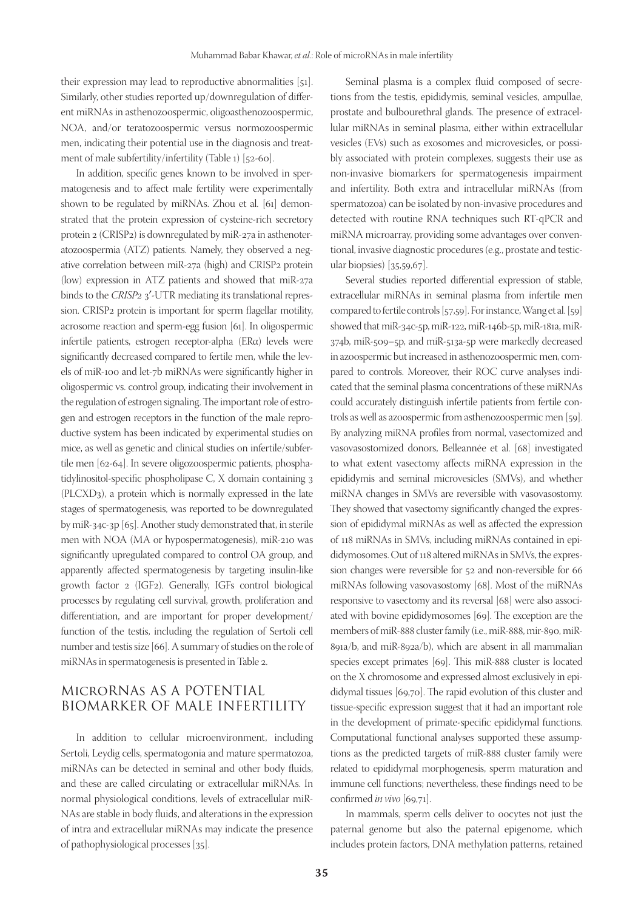their expression may lead to reproductive abnormalities [51]. Similarly, other studies reported up/downregulation of different miRNAs in asthenozoospermic, oligoasthenozoospermic, NOA, and/or teratozoospermic versus normozoospermic men, indicating their potential use in the diagnosis and treatment of male subfertility/infertility (Table 1) [52-60].

In addition, specific genes known to be involved in spermatogenesis and to affect male fertility were experimentally shown to be regulated by miRNAs. Zhou et al. [61] demonstrated that the protein expression of cysteine-rich secretory protein 2 (CRISP2) is downregulated by miR-27a in asthenoteratozoospermia (ATZ) patients. Namely, they observed a negative correlation between miR-27a (high) and CRISP2 protein (low) expression in ATZ patients and showed that miR-27a binds to the *CRISP2* 3′-UTR mediating its translational repression. CRISP2 protein is important for sperm flagellar motility, acrosome reaction and sperm-egg fusion [61]. In oligospermic infertile patients, estrogen receptor-alpha (ERα) levels were significantly decreased compared to fertile men, while the levels of miR-100 and let-7b miRNAs were significantly higher in oligospermic vs. control group, indicating their involvement in the regulation of estrogen signaling. The important role of estrogen and estrogen receptors in the function of the male reproductive system has been indicated by experimental studies on mice, as well as genetic and clinical studies on infertile/subfertile men [62-64]. In severe oligozoospermic patients, phosphatidylinositol-specific phospholipase C, X domain containing 3 (PLCXD3), a protein which is normally expressed in the late stages of spermatogenesis, was reported to be downregulated by miR-34c-3p [65]. Another study demonstrated that, in sterile men with NOA (MA or hypospermatogenesis), miR-210 was significantly upregulated compared to control OA group, and apparently affected spermatogenesis by targeting insulin-like growth factor 2 (IGF2). Generally, IGFs control biological processes by regulating cell survival, growth, proliferation and differentiation, and are important for proper development/ function of the testis, including the regulation of Sertoli cell number and testis size [66]. A summary of studies on the role of miRNAs in spermatogenesis is presented in Table 2.

## MicroRNAs AS A POTENTIAL BIOMARKER OF MALE INFERTILITY

In addition to cellular microenvironment, including Sertoli, Leydig cells, spermatogonia and mature spermatozoa, miRNAs can be detected in seminal and other body fluids, and these are called circulating or extracellular miRNAs. In normal physiological conditions, levels of extracellular miR-NAs are stable in body fluids, and alterations in the expression of intra and extracellular miRNAs may indicate the presence of pathophysiological processes [35].

Seminal plasma is a complex fluid composed of secretions from the testis, epididymis, seminal vesicles, ampullae, prostate and bulbourethral glands. The presence of extracellular miRNAs in seminal plasma, either within extracellular vesicles (EVs) such as exosomes and microvesicles, or possibly associated with protein complexes, suggests their use as non-invasive biomarkers for spermatogenesis impairment and infertility. Both extra and intracellular miRNAs (from spermatozoa) can be isolated by non-invasive procedures and detected with routine RNA techniques such RT-qPCR and miRNA microarray, providing some advantages over conventional, invasive diagnostic procedures (e.g., prostate and testicular biopsies) [35,59,67].

Several studies reported differential expression of stable, extracellular miRNAs in seminal plasma from infertile men compared to fertile controls [57,59]. For instance, Wang et al. [59] showed that miR-34c-5p, miR-122, miR-146b-5p, miR-181a, miR-374b, miR-509–5p, and miR-513a-5p were markedly decreased in azoospermic but increased in asthenozoospermic men, compared to controls. Moreover, their ROC curve analyses indicated that the seminal plasma concentrations of these miRNAs could accurately distinguish infertile patients from fertile controls as well as azoospermic from asthenozoospermic men [59]. By analyzing miRNA profiles from normal, vasectomized and vasovasostomized donors, Belleannée et al. [68] investigated to what extent vasectomy affects miRNA expression in the epididymis and seminal microvesicles (SMVs), and whether miRNA changes in SMVs are reversible with vasovasostomy. They showed that vasectomy significantly changed the expression of epididymal miRNAs as well as affected the expression of 118 miRNAs in SMVs, including miRNAs contained in epididymosomes. Out of 118 altered miRNAs in SMVs, the expression changes were reversible for 52 and non-reversible for 66 miRNAs following vasovasostomy [68]. Most of the miRNAs responsive to vasectomy and its reversal [68] were also associated with bovine epididymosomes [69]. The exception are the members of miR-888 cluster family (i.e., miR-888, mir-890, miR-891a/b, and miR-892a/b), which are absent in all mammalian species except primates [69]. This miR-888 cluster is located on the X chromosome and expressed almost exclusively in epididymal tissues [69,70]. The rapid evolution of this cluster and tissue-specific expression suggest that it had an important role in the development of primate-specific epididymal functions. Computational functional analyses supported these assumptions as the predicted targets of miR-888 cluster family were related to epididymal morphogenesis, sperm maturation and immune cell functions; nevertheless, these findings need to be confirmed *in vivo* [69,71].

In mammals, sperm cells deliver to oocytes not just the paternal genome but also the paternal epigenome, which includes protein factors, DNA methylation patterns, retained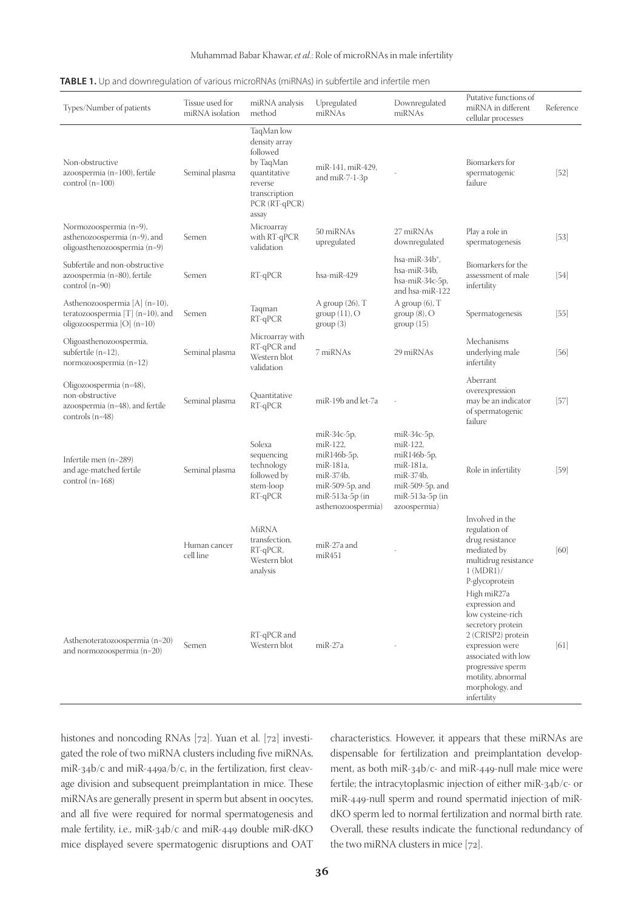| Types/Number of patients                                                                              | Tissue used for<br>miRNA isolation | miRNA analysis<br>method                                                                                                   | Upregulated<br>miRNAs                                                                                                        | Downregulated<br>miRNAs                                                                                                   | Putative functions of<br>miRNA in different<br>cellular processes                                                                                                                                                    | Reference |
|-------------------------------------------------------------------------------------------------------|------------------------------------|----------------------------------------------------------------------------------------------------------------------------|------------------------------------------------------------------------------------------------------------------------------|---------------------------------------------------------------------------------------------------------------------------|----------------------------------------------------------------------------------------------------------------------------------------------------------------------------------------------------------------------|-----------|
| Non-obstructive<br>azoospermia (n=100), fertile<br>control $(n=100)$                                  | Seminal plasma                     | TaqMan low<br>density array<br>followed<br>by TaqMan<br>quantitative<br>reverse<br>transcription<br>PCR (RT-qPCR)<br>assay | miR-141, miR-429,<br>and miR-7-1-3p                                                                                          |                                                                                                                           | Biomarkers for<br>spermatogenic<br>failure                                                                                                                                                                           | $[52]$    |
| Normozoospermia (n=9),<br>asthenozoospermia (n=9), and<br>oligoasthenozoospermia (n=9)                | Semen                              | Microarray<br>with RT-qPCR<br>validation                                                                                   | 50 miRNAs<br>upregulated                                                                                                     | 27 miRNAs<br>downregulated                                                                                                | Play a role in<br>spermatogenesis                                                                                                                                                                                    | $[53]$    |
| Subfertile and non-obstructive<br>azoospermia (n=80), fertile<br>control (n=90)                       | Semen                              | RT-qPCR                                                                                                                    | hsa-miR-429                                                                                                                  | hsa-miR-34b <sup>*</sup> ,<br>hsa-miR-34b,<br>hsa-miR-34c-5p,<br>and hsa-miR-122                                          | Biomarkers for the<br>assessment of male<br>infertility                                                                                                                                                              | $[54]$    |
| Asthenozoospermia [A] (n=10),<br>teratozoospermia [T] ( $n=10$ ), and<br>oligozoospermia $[O]$ (n=10) | Semen                              | Taqman<br>RT-qPCR                                                                                                          | A group $(26)$ , T<br>group(11), O<br>group(3)                                                                               | A group $(6)$ , T<br>group(8), O<br>group(15)                                                                             | Spermatogenesis                                                                                                                                                                                                      | $[55]$    |
| Oligoasthenozoospermia,<br>subfertile $(n=12)$ ,<br>normozoospermia (n=12)                            | Seminal plasma                     | Microarray with<br>RT-qPCR and<br>Western blot<br>validation                                                               | 7 miRNAs                                                                                                                     | 29 miRNAs                                                                                                                 | Mechanisms<br>underlying male<br>infertility                                                                                                                                                                         | $[56]$    |
| Oligozoospermia (n=48),<br>non-obstructive<br>azoospermia (n=48), and fertile<br>controls $(n=48)$    | Seminal plasma                     | Quantitative<br>$RT-qPCR$                                                                                                  | miR-19b and let-7a                                                                                                           |                                                                                                                           | Aberrant<br>overexpression<br>may be an indicator<br>of spermatogenic<br>failure                                                                                                                                     | [57]      |
| Infertile men (n=289)<br>and age-matched fertile<br>control $(n=168)$                                 | Seminal plasma                     | Solexa<br>sequencing<br>technology<br>followed by<br>stem-loop<br>$RT-qPCR$                                                | miR-34c-5p,<br>miR-122,<br>miR146b-5p,<br>miR-181a,<br>miR-374b,<br>miR-509-5p, and<br>miR-513a-5p (in<br>asthenozoospermia) | miR-34c-5p,<br>miR-122,<br>miR146b-5p,<br>miR-181a,<br>miR-374b,<br>$miR-509-5p$ , and<br>miR-513a-5p (in<br>azoospermia) | Role in infertility                                                                                                                                                                                                  | [59]      |
|                                                                                                       | Human cancer<br>cell line          | MiRNA<br>transfection,<br>RT-qPCR,<br>Western blot<br>analysis                                                             | miR-27a and<br>miR451                                                                                                        |                                                                                                                           | Involved in the<br>regulation of<br>drug resistance<br>mediated by<br>multidrug resistance<br>1 (MDR1) /<br>P-glycoprotein                                                                                           | [60]      |
| Asthenoteratozoospermia (n=20)<br>and normozoospermia (n=20)                                          | Semen                              | RT-qPCR and<br>Western blot                                                                                                | miR-27a                                                                                                                      |                                                                                                                           | High miR27a<br>expression and<br>low cysteine-rich<br>secretory protein<br>2 (CRISP2) protein<br>expression were<br>associated with low<br>progressive sperm<br>motility, abnormal<br>morphology, and<br>infertility | [61]      |

histones and noncoding RNAs [72]. Yuan et al. [72] investigated the role of two miRNA clusters including five miRNAs, miR-34b/c and miR-449a/b/c, in the fertilization, first cleavage division and subsequent preimplantation in mice. These miRNAs are generally present in sperm but absent in oocytes, and all five were required for normal spermatogenesis and male fertility, i.e., miR-34b/c and miR-449 double miR-dKO mice displayed severe spermatogenic disruptions and OAT characteristics. However, it appears that these miRNAs are dispensable for fertilization and preimplantation development, as both miR-34b/c- and miR-449-null male mice were fertile; the intracytoplasmic injection of either miR-34b/c- or miR-449-null sperm and round spermatid injection of miRdKO sperm led to normal fertilization and normal birth rate. Overall, these results indicate the functional redundancy of the two miRNA clusters in mice [72].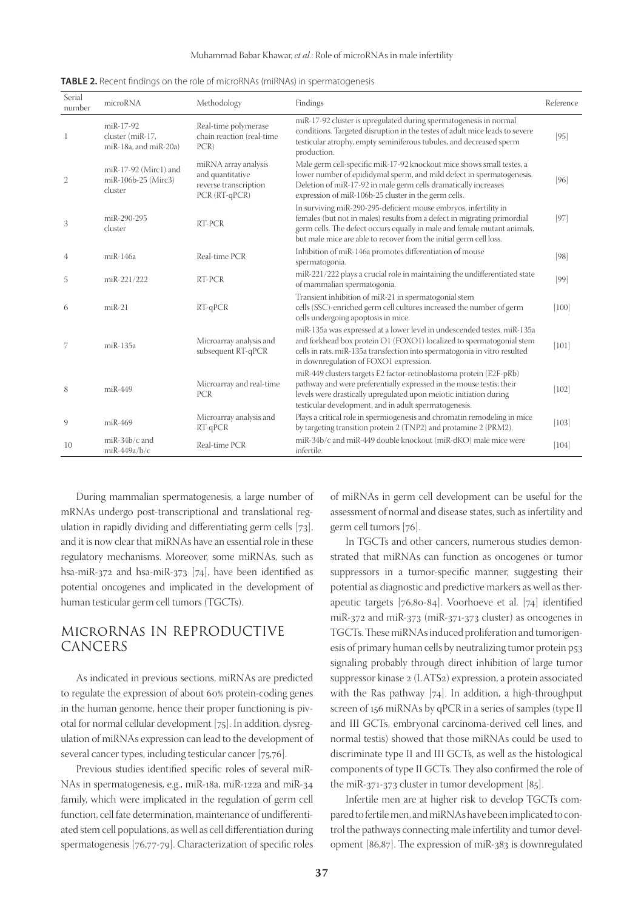| Serial<br>number | microRNA                                                | Methodology                                                                        | Findings                                                                                                                                                                                                                                                                                       | Reference |
|------------------|---------------------------------------------------------|------------------------------------------------------------------------------------|------------------------------------------------------------------------------------------------------------------------------------------------------------------------------------------------------------------------------------------------------------------------------------------------|-----------|
| $\mathbf{1}$     | miR-17-92<br>cluster (miR-17,<br>miR-18a, and miR-20a)  | Real-time polymerase<br>chain reaction (real-time<br>PCR)                          | miR-17-92 cluster is upregulated during spermatogenesis in normal<br>conditions. Targeted disruption in the testes of adult mice leads to severe<br>testicular atrophy, empty seminiferous tubules, and decreased sperm<br>production.                                                         | [95]      |
| 2                | miR-17-92 (Mirc1) and<br>miR-106b-25 (Mirc3)<br>cluster | miRNA array analysis<br>and quantitative<br>reverse transcription<br>PCR (RT-qPCR) | Male germ cell-specific miR-17-92 knockout mice shows small testes, a<br>lower number of epididymal sperm, and mild defect in spermatogenesis.<br>Deletion of miR-17-92 in male germ cells dramatically increases<br>expression of miR-106b-25 cluster in the germ cells.                      | $[96]$    |
| 3                | miR-290-295<br>cluster                                  | RT-PCR                                                                             | In surviving miR-290-295-deficient mouse embryos, infertility in<br>females (but not in males) results from a defect in migrating primordial<br>germ cells. The defect occurs equally in male and female mutant animals,<br>but male mice are able to recover from the initial germ cell loss. | $[97]$    |
| 4                | miR-146a                                                | Real-time PCR                                                                      | Inhibition of miR-146a promotes differentiation of mouse<br>spermatogonia.                                                                                                                                                                                                                     | $[98]$    |
| 5                | miR-221/222                                             | RT-PCR                                                                             | miR-221/222 plays a crucial role in maintaining the undifferentiated state<br>of mammalian spermatogonia.                                                                                                                                                                                      | [99]      |
| 6                | $miR-21$                                                | $RT-qPCR$                                                                          | Transient inhibition of miR-21 in spermatogonial stem<br>cells (SSC)-enriched germ cell cultures increased the number of germ<br>cells undergoing apoptosis in mice.                                                                                                                           | $[100]$   |
| 7                | miR-135a                                                | Microarray analysis and<br>subsequent RT-qPCR                                      | miR-135a was expressed at a lower level in undescended testes. miR-135a<br>and forkhead box protein O1 (FOXO1) localized to spermatogonial stem<br>cells in rats. miR-135a transfection into spermatogonia in vitro resulted<br>in downregulation of FOXO1 expression.                         | $[101]$   |
| 8                | miR-449                                                 | Microarray and real-time<br>PCR                                                    | miR-449 clusters targets E2 factor-retinoblastoma protein (E2F-pRb)<br>pathway and were preferentially expressed in the mouse testis; their<br>levels were drastically upregulated upon meiotic initiation during<br>testicular development, and in adult spermatogenesis.                     | $[102]$   |
| 9                | $miR-469$                                               | Microarray analysis and<br>$RT-qPCR$                                               | Plays a critical role in spermiogenesis and chromatin remodeling in mice<br>by targeting transition protein 2 (TNP2) and protamine 2 (PRM2).                                                                                                                                                   | $[103]$   |
| 10               | $miR-34b/c$ and<br>miR-449a/b/c                         | Real-time PCR                                                                      | miR-34b/c and miR-449 double knockout (miR-dKO) male mice were<br>infertile.                                                                                                                                                                                                                   | $[104]$   |

**TABLE 2.** Recent findings on the role of microRNAs (miRNAs) in spermatogenesis

During mammalian spermatogenesis, a large number of mRNAs undergo post-transcriptional and translational regulation in rapidly dividing and differentiating germ cells [73], and it is now clear that miRNAs have an essential role in these regulatory mechanisms. Moreover, some miRNAs, such as hsa-miR-372 and hsa-miR-373 [74], have been identified as potential oncogenes and implicated in the development of human testicular germ cell tumors (TGCTs).

## MicroRNAs IN REPRODUCTIVE CANCERS

As indicated in previous sections, miRNAs are predicted to regulate the expression of about 60% protein-coding genes in the human genome, hence their proper functioning is pivotal for normal cellular development [75]. In addition, dysregulation of miRNAs expression can lead to the development of several cancer types, including testicular cancer [75,76].

Previous studies identified specific roles of several miR-NAs in spermatogenesis, e.g., miR-18a, miR-122a and miR-34 family, which were implicated in the regulation of germ cell function, cell fate determination, maintenance of undifferentiated stem cell populations, as well as cell differentiation during spermatogenesis [76,77-79]. Characterization of specific roles

of miRNAs in germ cell development can be useful for the assessment of normal and disease states, such as infertility and germ cell tumors [76].

In TGCTs and other cancers, numerous studies demonstrated that miRNAs can function as oncogenes or tumor suppressors in a tumor-specific manner, suggesting their potential as diagnostic and predictive markers as well as therapeutic targets [76,80-84]. Voorhoeve et al. [74] identified miR-372 and miR-373 (miR-371-373 cluster) as oncogenes in TGCTs. These miRNAs induced proliferation and tumorigenesis of primary human cells by neutralizing tumor protein p53 signaling probably through direct inhibition of large tumor suppressor kinase 2 (LATS2) expression, a protein associated with the Ras pathway [74]. In addition, a high-throughput screen of 156 miRNAs by qPCR in a series of samples (type II and III GCTs, embryonal carcinoma-derived cell lines, and normal testis) showed that those miRNAs could be used to discriminate type II and III GCTs, as well as the histological components of type II GCTs. They also confirmed the role of the miR-371-373 cluster in tumor development [85].

Infertile men are at higher risk to develop TGCTs compared to fertile men, and miRNAs have been implicated to control the pathways connecting male infertility and tumor development [86,87]. The expression of miR-383 is downregulated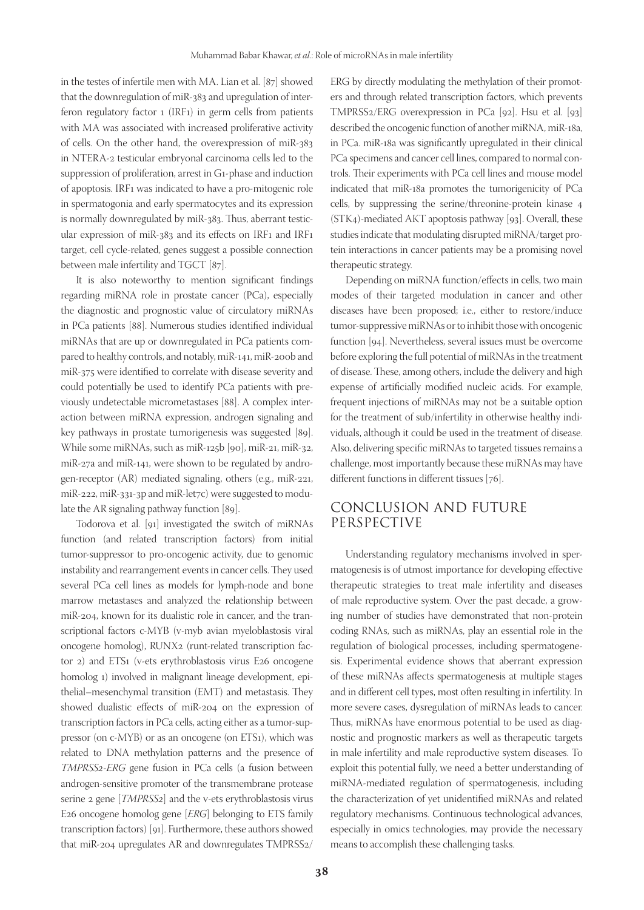in the testes of infertile men with MA. Lian et al. [87] showed that the downregulation of miR-383 and upregulation of interferon regulatory factor 1 (IRF1) in germ cells from patients with MA was associated with increased proliferative activity of cells. On the other hand, the overexpression of miR-383 in NTERA-2 testicular embryonal carcinoma cells led to the suppression of proliferation, arrest in G1-phase and induction of apoptosis. IRF1 was indicated to have a pro-mitogenic role in spermatogonia and early spermatocytes and its expression is normally downregulated by miR-383. Thus, aberrant testicular expression of miR-383 and its effects on IRF1 and IRF1 target, cell cycle-related, genes suggest a possible connection between male infertility and TGCT [87].

It is also noteworthy to mention significant findings regarding miRNA role in prostate cancer (PCa), especially the diagnostic and prognostic value of circulatory miRNAs in PCa patients [88]. Numerous studies identified individual miRNAs that are up or downregulated in PCa patients compared to healthy controls, and notably, miR-141, miR-200b and miR-375 were identified to correlate with disease severity and could potentially be used to identify PCa patients with previously undetectable micrometastases [88]. A complex interaction between miRNA expression, androgen signaling and key pathways in prostate tumorigenesis was suggested [89]. While some miRNAs, such as miR-125b [90], miR-21, miR-32, miR-27a and miR-141, were shown to be regulated by androgen-receptor (AR) mediated signaling, others (e.g., miR-221, miR-222, miR-331-3p and miR-let7c) were suggested to modulate the AR signaling pathway function [89].

Todorova et al. [91] investigated the switch of miRNAs function (and related transcription factors) from initial tumor-suppressor to pro-oncogenic activity, due to genomic instability and rearrangement events in cancer cells. They used several PCa cell lines as models for lymph-node and bone marrow metastases and analyzed the relationship between miR-204, known for its dualistic role in cancer, and the transcriptional factors c-MYB (v-myb avian myeloblastosis viral oncogene homolog), RUNX2 (runt-related transcription factor 2) and ETS1 (v-ets erythroblastosis virus E26 oncogene homolog 1) involved in malignant lineage development, epithelial–mesenchymal transition (EMT) and metastasis. They showed dualistic effects of miR-204 on the expression of transcription factors in PCa cells, acting either as a tumor-suppressor (on c-MYB) or as an oncogene (on ETS1), which was related to DNA methylation patterns and the presence of *TMPRSS2-ERG* gene fusion in PCa cells (a fusion between androgen-sensitive promoter of the transmembrane protease serine 2 gene [*TMPRSS2*] and the v-ets erythroblastosis virus E26 oncogene homolog gene [*ERG*] belonging to ETS family transcription factors) [91]. Furthermore, these authors showed that miR-204 upregulates AR and downregulates TMPRSS2/

ERG by directly modulating the methylation of their promoters and through related transcription factors, which prevents TMPRSS2/ERG overexpression in PCa [92]. Hsu et al. [93] described the oncogenic function of another miRNA, miR-18a, in PCa. miR-18a was significantly upregulated in their clinical PCa specimens and cancer cell lines, compared to normal controls. Their experiments with PCa cell lines and mouse model indicated that miR-18a promotes the tumorigenicity of PCa cells, by suppressing the serine/threonine-protein kinase 4 (STK4)-mediated AKT apoptosis pathway [93]. Overall, these studies indicate that modulating disrupted miRNA/target protein interactions in cancer patients may be a promising novel therapeutic strategy.

Depending on miRNA function/effects in cells, two main modes of their targeted modulation in cancer and other diseases have been proposed; i.e., either to restore/induce tumor-suppressive miRNAs or to inhibit those with oncogenic function [94]. Nevertheless, several issues must be overcome before exploring the full potential of miRNAs in the treatment of disease. These, among others, include the delivery and high expense of artificially modified nucleic acids. For example, frequent injections of miRNAs may not be a suitable option for the treatment of sub/infertility in otherwise healthy individuals, although it could be used in the treatment of disease. Also, delivering specific miRNAs to targeted tissues remains a challenge, most importantly because these miRNAs may have different functions in different tissues [76].

#### CONCLUSION AND FUTURE PERSPECTIVE

Understanding regulatory mechanisms involved in spermatogenesis is of utmost importance for developing effective therapeutic strategies to treat male infertility and diseases of male reproductive system. Over the past decade, a growing number of studies have demonstrated that non-protein coding RNAs, such as miRNAs, play an essential role in the regulation of biological processes, including spermatogenesis. Experimental evidence shows that aberrant expression of these miRNAs affects spermatogenesis at multiple stages and in different cell types, most often resulting in infertility. In more severe cases, dysregulation of miRNAs leads to cancer. Thus, miRNAs have enormous potential to be used as diagnostic and prognostic markers as well as therapeutic targets in male infertility and male reproductive system diseases. To exploit this potential fully, we need a better understanding of miRNA-mediated regulation of spermatogenesis, including the characterization of yet unidentified miRNAs and related regulatory mechanisms. Continuous technological advances, especially in omics technologies, may provide the necessary means to accomplish these challenging tasks.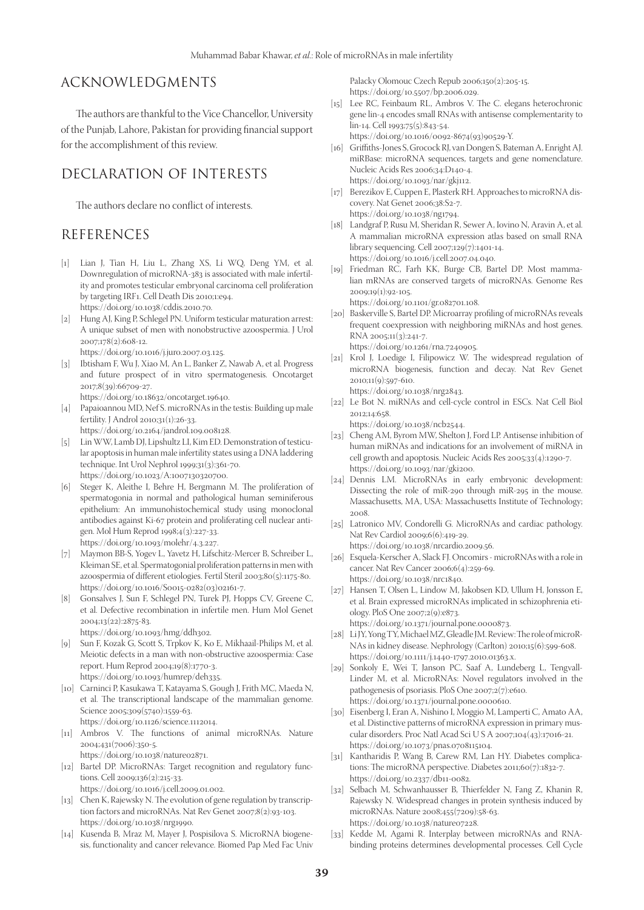#### ACKNOWLEDGMENTS

The authors are thankful to the Vice Chancellor, University of the Punjab, Lahore, Pakistan for providing financial support for the accomplishment of this review.

#### DECLARATION OF INTERESTS

The authors declare no conflict of interests.

## REFERENCES

- [1] Lian J, Tian H, Liu L, Zhang XS, Li WQ, Deng YM, et al. Downregulation of microRNA-383 is associated with male infertility and promotes testicular embryonal carcinoma cell proliferation by targeting IRF1. Cell Death Dis 2010;1:e94. https://doi.org/10.1038/cddis.2010.70.
- [2] Hung AJ, King P, Schlegel PN. Uniform testicular maturation arrest: A unique subset of men with nonobstructive azoospermia. J Urol 2007;178(2):608-12.
	- https://doi.org/10.1016/j.juro.2007.03.125.
- [3] Ibtisham F, Wu J, Xiao M, An L, Banker Z, Nawab A, et al. Progress and future prospect of in vitro spermatogenesis. Oncotarget 2017;8(39):66709-27.
	- https://doi.org/10.18632/oncotarget.19640.
- [4] Papaioannou MD, Nef S. microRNAs in the testis: Building up male fertility. J Androl 2010;31(1):26-33. https://doi.org/10.2164/jandrol.109.008128.
- [5] Lin WW, Lamb DJ, Lipshultz LI, Kim ED. Demonstration of testicular apoptosis in human male infertility states using a DNA laddering technique. Int Urol Nephrol 1999;31(3):361-70. https://doi.org/10.1023/A:1007130320700.
- [6] Steger K, Aleithe I, Behre H, Bergmann M. The proliferation of spermatogonia in normal and pathological human seminiferous epithelium: An immunohistochemical study using monoclonal antibodies against Ki-67 protein and proliferating cell nuclear antigen. Mol Hum Reprod 1998;4(3):227-33. https://doi.org/10.1093/molehr/4.3.227.
- [7] Maymon BB-S, Yogev L, Yavetz H, Lifschitz-Mercer B, Schreiber L, Kleiman SE, et al. Spermatogonial proliferation patterns in men with azoospermia of different etiologies. Fertil Steril 2003;80(5):1175-80. https://doi.org/10.1016/S0015-0282(03)02161-7.
- [8] Gonsalves J, Sun F, Schlegel PN, Turek PJ, Hopps CV, Greene C, et al. Defective recombination in infertile men. Hum Mol Genet 2004;13(22):2875-83. https://doi.org/10.1093/hmg/ddh302.
- [9] Sun F, Kozak G, Scott S, Trpkov K, Ko E, Mikhaail-Philips M, et al. Meiotic defects in a man with non-obstructive azoospermia: Case report. Hum Reprod 2004;19(8):1770-3.
	- https://doi.org/10.1093/humrep/deh335.
- [10] Carninci P, Kasukawa T, Katayama S, Gough J, Frith MC, Maeda N, et al. The transcriptional landscape of the mammalian genome. Science 2005;309(5740):1559-63. https://doi.org/10.1126/science.1112014.
- [11] Ambros V. The functions of animal microRNAs. Nature 2004;431(7006):350-5. https://doi.org/10.1038/nature02871.
- [12] Bartel DP. MicroRNAs: Target recognition and regulatory functions. Cell 2009;136(2):215-33. https://doi.org/10.1016/j.cell.2009.01.002.
- [13] Chen K, Rajewsky N. The evolution of gene regulation by transcrip-
- tion factors and microRNAs. Nat Rev Genet 2007;8(2):93-103. https://doi.org/10.1038/nrg1990.
- [14] Kusenda B, Mraz M, Mayer J, Pospisilova S. MicroRNA biogenesis, functionality and cancer relevance. Biomed Pap Med Fac Univ

Palacky Olomouc Czech Repub 2006;150(2):205-15. https://doi.org/10.5507/bp.2006.029.

- [15] Lee RC, Feinbaum RL, Ambros V. The C. elegans heterochronic gene lin-4 encodes small RNAs with antisense complementarity to lin-14. Cell 1993;75(5):843-54. https://doi.org/10.1016/0092-8674(93)90529-Y.
- [16] Griffiths-Jones S, Grocock RJ, van Dongen S, Bateman A, Enright AJ. miRBase: microRNA sequences, targets and gene nomenclature. Nucleic Acids Res 2006;34:D140-4. https://doi.org/10.1093/nar/gkj112.
- [17] Berezikov E, Cuppen E, Plasterk RH. Approaches to microRNA discovery. Nat Genet 2006;38:S2-7. https://doi.org/10.1038/ng1794.
- [18] Landgraf P, Rusu M, Sheridan R, Sewer A, Iovino N, Aravin A, et al. A mammalian microRNA expression atlas based on small RNA library sequencing. Cell 2007;129(7):1401-14. https://doi.org/10.1016/j.cell.2007.04.040.
- [19] Friedman RC, Farh KK, Burge CB, Bartel DP. Most mammalian mRNAs are conserved targets of microRNAs. Genome Res 2009;19(1):92-105.

https://doi.org/10.1101/gr.082701.108.

- [20] Baskerville S, Bartel DP. Microarray profiling of microRNAs reveals frequent coexpression with neighboring miRNAs and host genes. RNA 2005;11(3):241-7.
	- https://doi.org/10.1261/rna.7240905.
- [21] Krol J, Loedige I, Filipowicz W. The widespread regulation of microRNA biogenesis, function and decay. Nat Rev Genet 2010;11(9):597-610.
	- https://doi.org/10.1038/nrg2843.
- [22] Le Bot N. miRNAs and cell-cycle control in ESCs. Nat Cell Biol 2012;14:658.

https://doi.org/10.1038/ncb2544.

- [23] Cheng AM, Byrom MW, Shelton J, Ford LP. Antisense inhibition of human miRNAs and indications for an involvement of miRNA in cell growth and apoptosis. Nucleic Acids Res 2005;33(4):1290-7. https://doi.org/10.1093/nar/gki200.
- [24] Dennis LM. MicroRNAs in early embryonic development: Dissecting the role of miR-290 through miR-295 in the mouse. Massachusetts, MA, USA: Massachusetts Institute of Technology; 2008.
- [25] Latronico MV, Condorelli G. MicroRNAs and cardiac pathology. Nat Rev Cardiol 2009;6(6):419-29.
- https://doi.org/10.1038/nrcardio.2009.56.
- [26] Esquela-Kerscher A, Slack FJ. Oncomirs microRNAs with a role in cancer. Nat Rev Cancer 2006;6(4):259-69. https://doi.org/10.1038/nrc1840.
- [27] Hansen T, Olsen L, Lindow M, Jakobsen KD, Ullum H, Jonsson E, et al. Brain expressed microRNAs implicated in schizophrenia etiology. PloS One 2007;2(9):e873. https://doi.org/10.1371/journal.pone.0000873.
- [28] Li JY, Yong TY, Michael MZ, Gleadle JM. Review: The role of microR-NAs in kidney disease. Nephrology (Carlton) 2010;15(6):599-608.
- https://doi.org/10.1111/j.1440-1797.2010.01363.x. [29] Sonkoly E, Wei T, Janson PC, Saaf A, Lundeberg L, Tengvall-Linder M, et al. MicroRNAs: Novel regulators involved in the pathogenesis of psoriasis. PloS One 2007;2(7):e610. https://doi.org/10.1371/journal.pone.0000610.
- [30] Eisenberg I, Eran A, Nishino I, Moggio M, Lamperti C, Amato AA, et al. Distinctive patterns of microRNA expression in primary muscular disorders. Proc Natl Acad Sci U S A 2007;104(43):17016-21. https://doi.org/10.1073/pnas.0708115104.
- [31] Kantharidis P, Wang B, Carew RM, Lan HY. Diabetes complications: The microRNA perspective. Diabetes 2011;60(7):1832-7. https://doi.org/10.2337/db11-0082.
- [32] Selbach M, Schwanhausser B, Thierfelder N, Fang Z, Khanin R, Rajewsky N. Widespread changes in protein synthesis induced by microRNAs. Nature 2008;455(7209):58-63. https://doi.org/10.1038/nature07228.
- [33] Kedde M, Agami R. Interplay between microRNAs and RNAbinding proteins determines developmental processes. Cell Cycle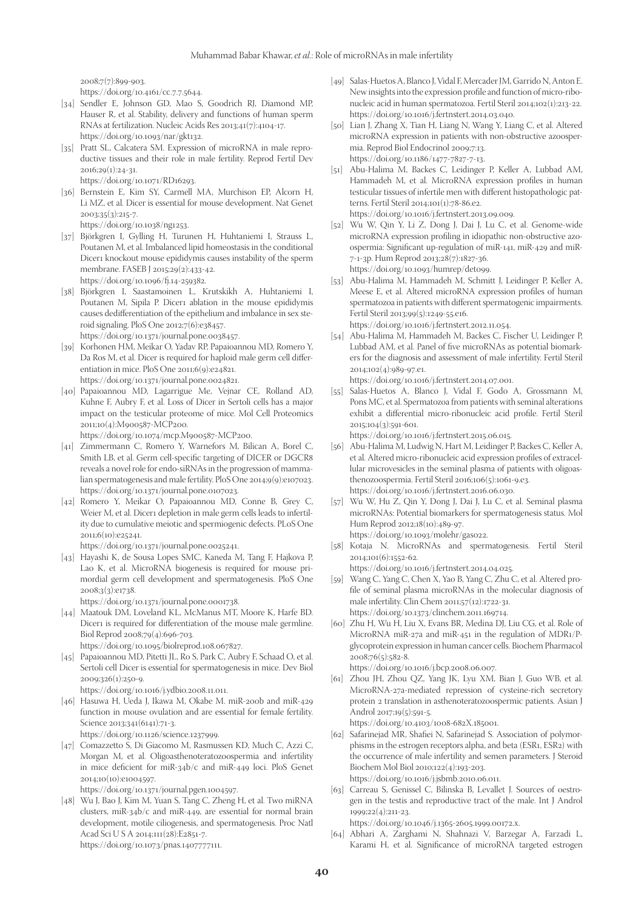2008;7(7):899-903.

- https://doi.org/10.4161/cc.7.7.5644.
- [34] Sendler E, Johnson GD, Mao S, Goodrich RJ, Diamond MP, Hauser R, et al. Stability, delivery and functions of human sperm RNAs at fertilization. Nucleic Acids Res 2013;41(7):4104-17. https://doi.org/10.1093/nar/gkt132.
- [35] Pratt SL, Calcatera SM. Expression of microRNA in male reproductive tissues and their role in male fertility. Reprod Fertil Dev 2016;29(1):24-31. https://doi.org/10.1071/RD16293.
- [36] Bernstein E, Kim SY, Carmell MA, Murchison EP, Alcorn H, Li MZ, et al. Dicer is essential for mouse development. Nat Genet 2003;35(3):215-7.

https://doi.org/10.1038/ng1253.

- [37] Björkgren I, Gylling H, Turunen H, Huhtaniemi I, Strauss L, Poutanen M, et al. Imbalanced lipid homeostasis in the conditional Dicer1 knockout mouse epididymis causes instability of the sperm membrane. FASEB J 2015;29(2):433-42. https://doi.org/10.1096/fj.14-259382.
- [38] Björkgren I, Saastamoinen L, Krutskikh A, Huhtaniemi I, Poutanen M, Sipila P. Dicer1 ablation in the mouse epididymis causes dedifferentiation of the epithelium and imbalance in sex steroid signaling. PloS One 2012;7(6):e38457. https://doi.org/10.1371/journal.pone.0038457.
- [39] Korhonen HM, Meikar O, Yadav RP, Papaioannou MD, Romero Y, Da Ros M, et al. Dicer is required for haploid male germ cell differentiation in mice. PloS One 2011;6(9):e24821. https://doi.org/10.1371/journal.pone.0024821.
- [40] Papaioannou MD, Lagarrigue Me, Vejnar CE, Rolland AD, Kuhne F, Aubry F, et al. Loss of Dicer in Sertoli cells has a major impact on the testicular proteome of mice. Mol Cell Proteomics 2011;10(4):M900587-MCP200.

https://doi.org/10.1074/mcp.M900587-MCP200.

- [41] Zimmermann C, Romero Y, Warnefors M, Bilican A, Borel C, Smith LB, et al. Germ cell-specific targeting of DICER or DGCR8 reveals a novel role for endo-siRNAs in the progression of mammalian spermatogenesis and male fertility. PloS One 2014;9(9):e107023. https://doi.org/10.1371/journal.pone.0107023.
- [42] Romero Y, Meikar O, Papaioannou MD, Conne B, Grey C, Weier M, et al. Dicer1 depletion in male germ cells leads to infertility due to cumulative meiotic and spermiogenic defects. PLoS One 2011;6(10):e25241.

https://doi.org/10.1371/journal.pone.0025241.

[43] Hayashi K, de Sousa Lopes SMC, Kaneda M, Tang F, Hajkova P, Lao K, et al. MicroRNA biogenesis is required for mouse primordial germ cell development and spermatogenesis. PloS One 2008;3(3):e1738.

https://doi.org/10.1371/journal.pone.0001738.

- [44] Maatouk DM, Loveland KL, McManus MT, Moore K, Harfe BD. Dicer1 is required for differentiation of the mouse male germline. Biol Reprod 2008;79(4):696-703. https://doi.org/10.1095/biolreprod.108.067827.
- [45] Papaioannou MD, Pitetti JL, Ro S, Park C, Aubry F, Schaad O, et al. Sertoli cell Dicer is essential for spermatogenesis in mice. Dev Biol 2009;326(1):250-9.
	- https://doi.org/10.1016/j.ydbio.2008.11.011.
- [46] Hasuwa H, Ueda J, Ikawa M, Okabe M. miR-200b and miR-429 function in mouse ovulation and are essential for female fertility. Science 2013;341(6141):71-3. https://doi.org/10.1126/science.1237999.
- [47] Comazzetto S, Di Giacomo M, Rasmussen KD, Much C, Azzi C, Morgan M, et al. Oligoasthenoteratozoospermia and infertility in mice deficient for miR-34b/c and miR-449 loci. PloS Genet 2014;10(10):e1004597.

https://doi.org/10.1371/journal.pgen.1004597.

[48] Wu J, Bao J, Kim M, Yuan S, Tang C, Zheng H, et al. Two miRNA clusters, miR-34b/c and miR-449, are essential for normal brain development, motile ciliogenesis, and spermatogenesis. Proc Natl Acad Sci U S A 2014;111(28):E2851-7. https://doi.org/10.1073/pnas.1407777111.

- [49] Salas-Huetos A, Blanco J, Vidal F, Mercader JM, Garrido N, Anton E. New insights into the expression profile and function of micro-ribonucleic acid in human spermatozoa. Fertil Steril 2014;102(1):213-22. https://doi.org/10.1016/j.fertnstert.2014.03.040.
- [50] Lian J, Zhang X, Tian H, Liang N, Wang Y, Liang C, et al. Altered microRNA expression in patients with non-obstructive azoospermia. Reprod Biol Endocrinol 2009;7:13. https://doi.org/10.1186/1477-7827-7-13.
- [51] Abu-Halima M, Backes C, Leidinger P, Keller A, Lubbad AM, Hammadeh M, et al. MicroRNA expression profiles in human testicular tissues of infertile men with different histopathologic patterns. Fertil Steril 2014;101(1):78-86.e2. https://doi.org/10.1016/j.fertnstert.2013.09.009.
- [52] Wu W, Qin Y, Li Z, Dong J, Dai J, Lu C, et al. Genome-wide microRNA expression profiling in idiopathic non-obstructive azoospermia: Significant up-regulation of miR-141, miR-429 and miR-7-1-3p. Hum Reprod 2013;28(7):1827-36. https://doi.org/10.1093/humrep/det099.
- [53] Abu-Halima M, Hammadeh M, Schmitt J, Leidinger P, Keller A, Meese E, et al. Altered microRNA expression profiles of human spermatozoa in patients with different spermatogenic impairments. Fertil Steril 2013;99(5):1249-55.e16. https://doi.org/10.1016/j.fertnstert.2012.11.054.
- [54] Abu-Halima M, Hammadeh M, Backes C, Fischer U, Leidinger P, Lubbad AM, et al. Panel of five microRNAs as potential biomarkers for the diagnosis and assessment of male infertility. Fertil Steril 2014;102(4):989-97.e1.

https://doi.org/10.1016/j.fertnstert.2014.07.001.

[55] Salas-Huetos A, Blanco J, Vidal F, Godo A, Grossmann M, Pons MC, et al. Spermatozoa from patients with seminal alterations exhibit a differential micro-ribonucleic acid profile. Fertil Steril 2015;104(3):591-601.

https://doi.org/10.1016/j.fertnstert.2015.06.015.

- [56] Abu-Halima M, Ludwig N, Hart M, Leidinger P, Backes C, Keller A, et al. Altered micro-ribonucleic acid expression profiles of extracellular microvesicles in the seminal plasma of patients with oligoasthenozoospermia. Fertil Steril 2016;106(5):1061-9.e3. https://doi.org/10.1016/j.fertnstert.2016.06.030.
- [57] Wu W, Hu Z, Qin Y, Dong J, Dai J, Lu C, et al. Seminal plasma microRNAs: Potential biomarkers for spermatogenesis status. Mol Hum Reprod 2012;18(10):489-97. https://doi.org/10.1093/molehr/gas022.
- [58] Kotaja N. MicroRNAs and spermatogenesis. Fertil Steril 2014;101(6):1552-62.

https://doi.org/10.1016/j.fertnstert.2014.04.025.

- [59] Wang C, Yang C, Chen X, Yao B, Yang C, Zhu C, et al. Altered profile of seminal plasma microRNAs in the molecular diagnosis of male infertility. Clin Chem 2011;57(12):1722-31. https://doi.org/10.1373/clinchem.2011.169714.
- [60] Zhu H, Wu H, Liu X, Evans BR, Medina DJ, Liu CG, et al. Role of MicroRNA miR-27a and miR-451 in the regulation of MDR1/Pglycoprotein expression in human cancer cells. Biochem Pharmacol 2008;76(5):582-8.

https://doi.org/10.1016/j.bcp.2008.06.007.

[61] Zhou JH, Zhou QZ, Yang JK, Lyu XM, Bian J, Guo WB, et al. MicroRNA-27a-mediated repression of cysteine-rich secretory protein 2 translation in asthenoteratozoospermic patients. Asian J Androl 2017;19(5):591-5. https://doi.org/10.4103/1008-682X.185001.

[62] Safarinejad MR, Shafiei N, Safarinejad S. Association of polymorphisms in the estrogen receptors alpha, and beta (ESR1, ESR2) with the occurrence of male infertility and semen parameters. J Steroid Biochem Mol Biol 2010;122(4):193-203.

https://doi.org/10.1016/j.jsbmb.2010.06.011.

[63] Carreau S, Genissel C, Bilinska B, Levallet J. Sources of oestrogen in the testis and reproductive tract of the male. Int J Androl 1999;22(4):211-23.

https://doi.org/10.1046/j.1365-2605.1999.00172.x.

[64] Abhari A, Zarghami N, Shahnazi V, Barzegar A, Farzadi L, Karami H, et al. Significance of microRNA targeted estrogen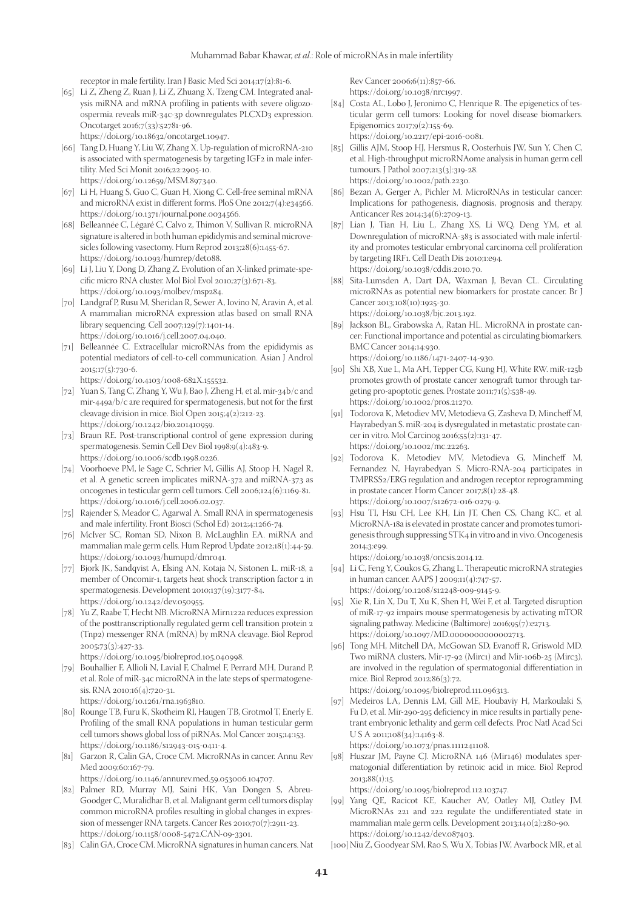receptor in male fertility. Iran J Basic Med Sci 2014;17(2):81-6.

[65] Li Z, Zheng Z, Ruan J, Li Z, Zhuang X, Tzeng CM. Integrated analysis miRNA and mRNA profiling in patients with severe oligozoospermia reveals miR-34c-3p downregulates PLCXD3 expression. Oncotarget 2016;7(33):52781-96.

https://doi.org/10.18632/oncotarget.10947.

- [66] Tang D, Huang Y, Liu W, Zhang X. Up-regulation of microRNA-210 is associated with spermatogenesis by targeting IGF2 in male infertility. Med Sci Monit 2016;22:2905-10. https://doi.org/10.12659/MSM.897340.
- [67] Li H, Huang S, Guo C, Guan H, Xiong C. Cell-free seminal mRNA and microRNA exist in different forms. PloS One 2012;7(4):e34566. https://doi.org/10.1371/journal.pone.0034566.
- [68] Belleannée C, Légaré C, Calvo z, Thimon V, Sullivan R. microRNA signature is altered in both human epididymis and seminal microvesicles following vasectomy. Hum Reprod 2013;28(6):1455-67. https://doi.org/10.1093/humrep/det088.
- [69] Li J, Liu Y, Dong D, Zhang Z. Evolution of an X-linked primate-specific micro RNA cluster. Mol Biol Evol 2010;27(3):671-83. https://doi.org/10.1093/molbev/msp284.
- [70] Landgraf P, Rusu M, Sheridan R, Sewer A, Iovino N, Aravin A, et al. A mammalian microRNA expression atlas based on small RNA library sequencing. Cell 2007;129(7):1401-14. https://doi.org/10.1016/j.cell.2007.04.040.
- [71] Belleannée C. Extracellular microRNAs from the epididymis as potential mediators of cell-to-cell communication. Asian J Androl 2015;17(5):730-6.

https://doi.org/10.4103/1008-682X.155532.

- [72] Yuan S, Tang C, Zhang Y, Wu J, Bao J, Zheng H, et al. mir-34b/c and mir-449a/b/c are required for spermatogenesis, but not for the first cleavage division in mice. Biol Open 2015;4(2):212-23. https://doi.org/10.1242/bio.201410959.
- [73] Braun RE. Post-transcriptional control of gene expression during spermatogenesis. Semin Cell Dev Biol 1998;9(4):483-9. https://doi.org/10.1006/scdb.1998.0226.
- [74] Voorhoeve PM, le Sage C, Schrier M, Gillis AJ, Stoop H, Nagel R, et al. A genetic screen implicates miRNA-372 and miRNA-373 as oncogenes in testicular germ cell tumors. Cell 2006;124(6):1169-81. https://doi.org/10.1016/j.cell.2006.02.037.
- [75] Rajender S, Meador C, Agarwal A. Small RNA in spermatogenesis and male infertility. Front Biosci (Schol Ed) 2012;4:1266-74.
- [76] McIver SC, Roman SD, Nixon B, McLaughlin EA. miRNA and mammalian male germ cells. Hum Reprod Update 2012;18(1):44-59. https://doi.org/10.1093/humupd/dmr041.
- [77] Bjork JK, Sandqvist A, Elsing AN, Kotaja N, Sistonen L. miR-18, a member of Oncomir-1, targets heat shock transcription factor 2 in spermatogenesis. Development 2010;137(19):3177-84. https://doi.org/10.1242/dev.050955.
- [78] Yu Z, Raabe T, Hecht NB. MicroRNA Mirn122a reduces expression of the posttranscriptionally regulated germ cell transition protein 2 (Tnp2) messenger RNA (mRNA) by mRNA cleavage. Biol Reprod 2005;73(3):427-33.

https://doi.org/10.1095/biolreprod.105.040998.

[79] Bouhallier F, Allioli N, Lavial F, Chalmel F, Perrard MH, Durand P, et al. Role of miR-34c microRNA in the late steps of spermatogenesis. RNA 2010;16(4):720-31.

https://doi.org/10.1261/rna.1963810.

- [80] Rounge TB, Furu K, Skotheim RI, Haugen TB, Grotmol T, Enerly E. Profiling of the small RNA populations in human testicular germ cell tumors shows global loss of piRNAs. Mol Cancer 2015;14:153. https://doi.org/10.1186/s12943-015-0411-4.
- [81] Garzon R, Calin GA, Croce CM. MicroRNAs in cancer. Annu Rev Med 2009;60:167-79.
- https://doi.org/10.1146/annurev.med.59.053006.104707. [82] Palmer RD, Murray MJ, Saini HK, Van Dongen S, Abreu-
- Goodger C, Muralidhar B, et al. Malignant germ cell tumors display common microRNA profiles resulting in global changes in expression of messenger RNA targets. Cancer Res 2010;70(7):2911-23. https://doi.org/10.1158/0008-5472.CAN-09-3301.
- [83] Calin GA, Croce CM. MicroRNA signatures in human cancers. Nat

Rev Cancer 2006;6(11):857-66. https://doi.org/10.1038/nrc1997.

- [84] Costa AL, Lobo J, Jeronimo C, Henrique R. The epigenetics of testicular germ cell tumors: Looking for novel disease biomarkers. Epigenomics 2017;9(2):155-69. https://doi.org/10.2217/epi-2016-0081.
- [85] Gillis AJM, Stoop HJ, Hersmus R, Oosterhuis JW, Sun Y, Chen C, et al. High-throughput microRNAome analysis in human germ cell tumours. J Pathol 2007;213(3):319-28. https://doi.org/10.1002/path.2230.
- [86] Bezan A, Gerger A, Pichler M. MicroRNAs in testicular cancer: Implications for pathogenesis, diagnosis, prognosis and therapy. Anticancer Res 2014;34(6):2709-13.
- [87] Lian J, Tian H, Liu L, Zhang XS, Li WQ, Deng YM, et al. Downregulation of microRNA-383 is associated with male infertility and promotes testicular embryonal carcinoma cell proliferation by targeting IRF1. Cell Death Dis 2010;1:e94. https://doi.org/10.1038/cddis.2010.70.
- [88] Sita-Lumsden A, Dart DA, Waxman J, Bevan CL. Circulating microRNAs as potential new biomarkers for prostate cancer. Br J Cancer 2013;108(10):1925-30. https://doi.org/10.1038/bjc.2013.192.
- [89] Jackson BL, Grabowska A, Ratan HL. MicroRNA in prostate cancer: Functional importance and potential as circulating biomarkers. BMC Cancer 2014;14:930. https://doi.org/10.1186/1471-2407-14-930.
- [90] Shi XB, Xue L, Ma AH, Tepper CG, Kung HJ, White RW. miR-125b promotes growth of prostate cancer xenograft tumor through targeting pro-apoptotic genes. Prostate 2011;71(5):538-49. https://doi.org/10.1002/pros.21270.
- [91] Todorova K, Metodiev MV, Metodieva G, Zasheva D, Mincheff M, Hayrabedyan S. miR-204 is dysregulated in metastatic prostate cancer in vitro. Mol Carcinog 2016;55(2):131-47. https://doi.org/10.1002/mc.22263.
- [92] Todorova K, Metodiev MV, Metodieva G, Mincheff M, Fernandez N, Hayrabedyan S. Micro-RNA-204 participates in TMPRSS2/ERG regulation and androgen receptor reprogramming in prostate cancer. Horm Cancer 2017;8(1):28-48. https://doi.org/10.1007/s12672-016-0279-9.
- [93] Hsu TI, Hsu CH, Lee KH, Lin JT, Chen CS, Chang KC, et al. MicroRNA-18a is elevated in prostate cancer and promotes tumorigenesis through suppressing STK4 in vitro and in vivo. Oncogenesis 2014;3:e99.

https://doi.org/10.1038/oncsis.2014.12.

- [94] Li C, Feng Y, Coukos G, Zhang L. Therapeutic microRNA strategies in human cancer. AAPS J 2009;11(4):747-57. https://doi.org/10.1208/s12248-009-9145-9.
- [95] Xie R, Lin X, Du T, Xu K, Shen H, Wei F, et al. Targeted disruption of miR-17-92 impairs mouse spermatogenesis by activating mTOR signaling pathway. Medicine (Baltimore) 2016;95(7):e2713. https://doi.org/10.1097/MD.0000000000002713.
- [96] Tong MH, Mitchell DA, McGowan SD, Evanoff R, Griswold MD. Two miRNA clusters, Mir-17-92 (Mirc1) and Mir-106b-25 (Mirc3), are involved in the regulation of spermatogonial differentiation in mice. Biol Reprod 2012;86(3):72. https://doi.org/10.1095/biolreprod.111.096313.
- [97] Medeiros LA, Dennis LM, Gill ME, Houbaviy H, Markoulaki S, Fu D, et al. Mir-290-295 deficiency in mice results in partially penetrant embryonic lethality and germ cell defects. Proc Natl Acad Sci U S A 2011;108(34):14163-8.

https://doi.org/10.1073/pnas.1111241108.

[98] Huszar JM, Payne CJ. MicroRNA 146 (Mir146) modulates spermatogonial differentiation by retinoic acid in mice. Biol Reprod 2013;88(1):15.

https://doi.org/10.1095/biolreprod.112.103747.

[99] Yang QE, Racicot KE, Kaucher AV, Oatley MJ, Oatley JM. MicroRNAs 221 and 222 regulate the undifferentiated state in mammalian male germ cells. Development 2013;140(2):280-90. https://doi.org/10.1242/dev.087403.

[100] Niu Z, Goodyear SM, Rao S, Wu X, Tobias JW, Avarbock MR, et al.